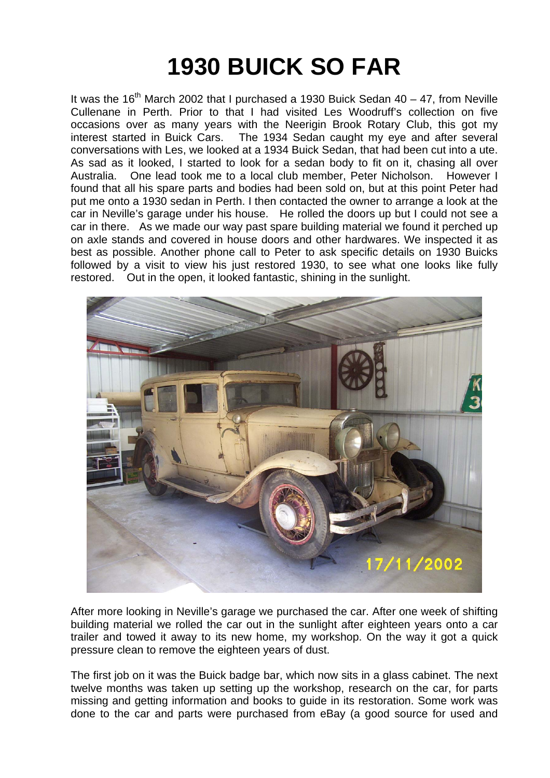## **1930 BUICK SO FAR**

It was the 16<sup>th</sup> March 2002 that I purchased a 1930 Buick Sedan  $40 - 47$ , from Neville Cullenane in Perth. Prior to that I had visited Les Woodruff's collection on five occasions over as many years with the Neerigin Brook Rotary Club, this got my interest started in Buick Cars. The 1934 Sedan caught my eye and after several conversations with Les, we looked at a 1934 Buick Sedan, that had been cut into a ute. As sad as it looked, I started to look for a sedan body to fit on it, chasing all over Australia. One lead took me to a local club member, Peter Nicholson. However I found that all his spare parts and bodies had been sold on, but at this point Peter had put me onto a 1930 sedan in Perth. I then contacted the owner to arrange a look at the car in Neville's garage under his house. He rolled the doors up but I could not see a car in there. As we made our way past spare building material we found it perched up on axle stands and covered in house doors and other hardwares. We inspected it as best as possible. Another phone call to Peter to ask specific details on 1930 Buicks followed by a visit to view his just restored 1930, to see what one looks like fully restored. Out in the open, it looked fantastic, shining in the sunlight.



After more looking in Neville's garage we purchased the car. After one week of shifting building material we rolled the car out in the sunlight after eighteen years onto a car trailer and towed it away to its new home, my workshop. On the way it got a quick pressure clean to remove the eighteen years of dust.

The first job on it was the Buick badge bar, which now sits in a glass cabinet. The next twelve months was taken up setting up the workshop, research on the car, for parts missing and getting information and books to guide in its restoration. Some work was done to the car and parts were purchased from eBay (a good source for used and